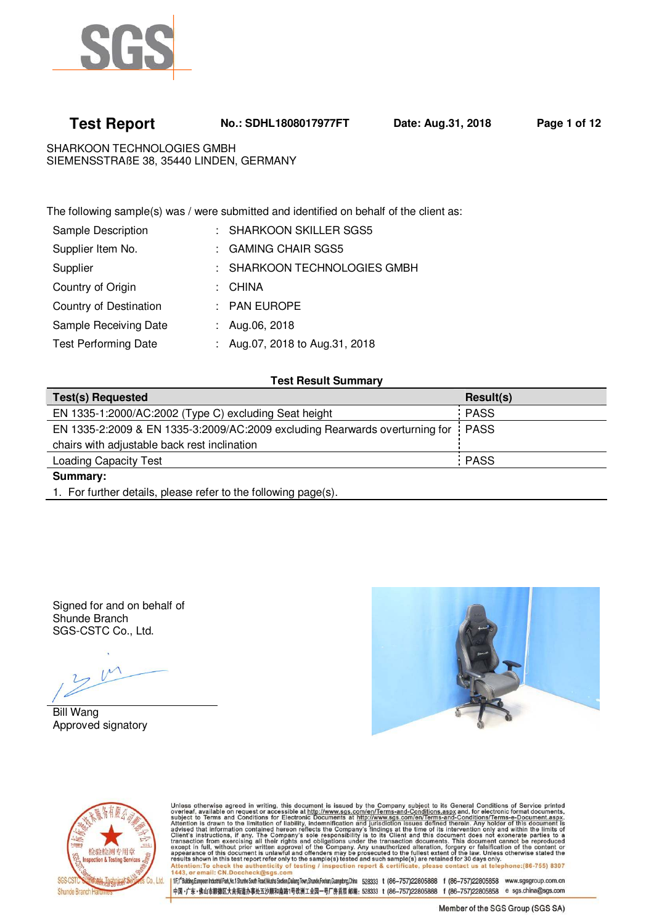

 **Test Report No.: SDHL1808017977FT Date: Aug.31, 2018 Page 1 of 12**

SHARKOON TECHNOLOGIES GMBH SIEMENSSTRAßE 38, 35440 LINDEN, GERMANY

The following sample(s) was / were submitted and identified on behalf of the client as:

| Sample Description          | : SHARKOON SKILLER SGS5        |
|-----------------------------|--------------------------------|
| Supplier Item No.           | : GAMING CHAIR SGS5            |
| Supplier                    | : SHARKOON TECHNOLOGIES GMBH   |
| Country of Origin           | : CHINA                        |
| Country of Destination      | $:$ PAN EUROPE                 |
| Sample Receiving Date       | : Aug.06, 2018                 |
| <b>Test Performing Date</b> | : Aug.07, 2018 to Aug.31, 2018 |
|                             |                                |

# **Test Result Summary**

| <b>Test(s) Requested</b>                                                         | Result(s) |
|----------------------------------------------------------------------------------|-----------|
| EN 1335-1:2000/AC:2002 (Type C) excluding Seat height                            | PASS      |
| EN 1335-2:2009 & EN 1335-3:2009/AC:2009 excluding Rearwards overturning for PASS |           |
| chairs with adjustable back rest inclination                                     |           |
| <b>Loading Capacity Test</b>                                                     | : PASS    |
| Summary:                                                                         |           |

1. For further details, please refer to the following page(s).

Signed for and on behalf of Shunde Branch SGS-CSTC Co., Ltd.

Bill Wang Approved signatory





Unless otherwise agreed in writing, this document is issued by the Company subject to its General Conditions of Service printed overleaf, available on request or accessible at http://www.sgs.com/en/Terms-and-Conditions.as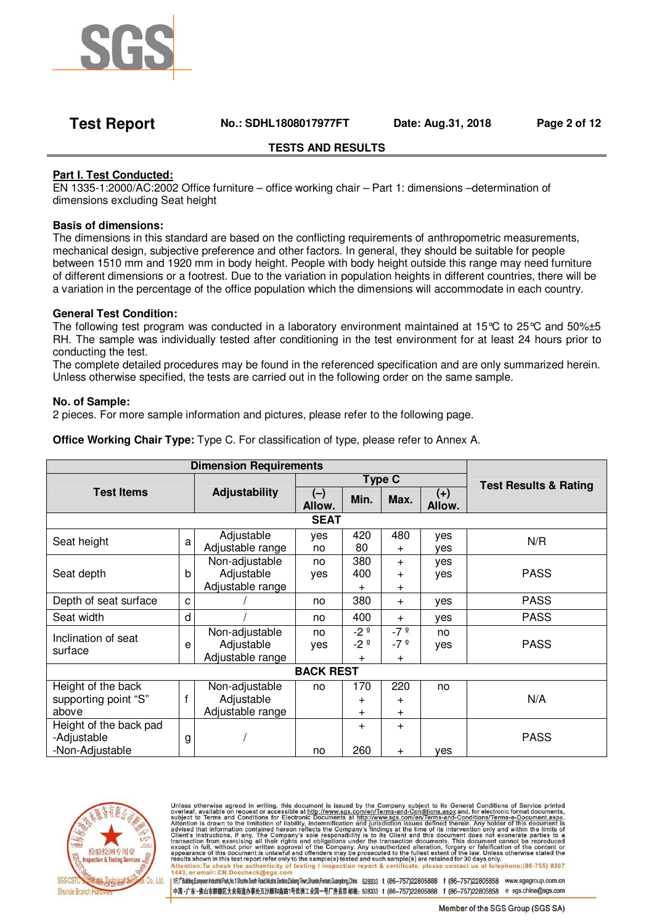

# **Test Report No.: SDHL1808017977FT Date: Aug.31, 2018 Page 2 of 12**

# **TESTS AND RESULTS**

# **Part I. Test Conducted:**

EN 1335-1:2000/AC:2002 Office furniture – office working chair – Part 1: dimensions –determination of dimensions excluding Seat height

### **Basis of dimensions:**

The dimensions in this standard are based on the conflicting requirements of anthropometric measurements, mechanical design, subjective preference and other factors. In general, they should be suitable for people between 1510 mm and 1920 mm in body height. People with body height outside this range may need furniture of different dimensions or a footrest. Due to the variation in population heights in different countries, there will be a variation in the percentage of the office population which the dimensions will accommodate in each country.

### **General Test Condition:**

The following test program was conducted in a laboratory environment maintained at 15°C to 25°C and 50%±5 RH. The sample was individually tested after conditioning in the test environment for at least 24 hours prior to conducting the test.

The complete detailed procedures may be found in the referenced specification and are only summarized herein. Unless otherwise specified, the tests are carried out in the following order on the same sample.

### **No. of Sample:**

2 pieces. For more sample information and pictures, please refer to the following page.

**Office Working Chair Type:** Type C. For classification of type, please refer to Annex A.

| <b>Dimension Requirements</b> |   |                  |                  |                |           |                 |                                  |
|-------------------------------|---|------------------|------------------|----------------|-----------|-----------------|----------------------------------|
| <b>Test Items</b>             |   |                  | <b>Type C</b>    |                |           |                 | <b>Test Results &amp; Rating</b> |
|                               |   | Adjustability    | (一)<br>Allow.    | Min.           | Max.      | $(+)$<br>Allow. |                                  |
|                               |   |                  | <b>SEAT</b>      |                |           |                 |                                  |
| Seat height                   | a | Adjustable       | yes              | 420            | 480       | yes             | N/R                              |
|                               |   | Adjustable range | no               | 80             | $\pm$     | ves             |                                  |
|                               |   | Non-adjustable   | no               | 380            | $^{+}$    | yes             |                                  |
| Seat depth                    | b | Adjustable       | yes              | 400            | $\ddot{}$ | yes             | <b>PASS</b>                      |
|                               |   | Adjustable range |                  | $\pm$          | $\ddot{}$ |                 |                                  |
| Depth of seat surface         | C |                  | no               | 380            | $^{+}$    | yes             | <b>PASS</b>                      |
| Seat width                    | d |                  | no               | 400            | $^{+}$    | yes             | <b>PASS</b>                      |
| Inclination of seat           |   | Non-adjustable   | no               | $-2°$          | $-7°$     | no              |                                  |
| surface                       | e | Adjustable       | yes              | $-2°$          | $-7°$     | yes             | <b>PASS</b>                      |
|                               |   | Adjustable range |                  | $^{+}$         | $\pm$     |                 |                                  |
|                               |   |                  | <b>BACK REST</b> |                |           |                 |                                  |
| Height of the back            |   | Non-adjustable   | no               | 170            | 220       | no              |                                  |
| supporting point "S"          |   | Adjustable       |                  | $\ddot{}$      | $\ddot{}$ |                 | N/A                              |
| above                         |   | Adjustable range |                  | $\overline{+}$ | $\ddot{}$ |                 |                                  |
| Height of the back pad        |   |                  |                  | $\pm$          | $^{+}$    |                 |                                  |
| -Adjustable                   | g |                  |                  |                |           |                 | <b>PASS</b>                      |
| -Non-Adjustable               |   |                  | no               | 260            | $\pm$     | ves             |                                  |



Unless otherwise agreed in writing, this document is issued by the Company subject to its General Conditions of Service printed overleaf, available on request or accessible at http://www.sgs.com/en/Terms-and-Conditions.as or email: CN.Doccl heck@sas.com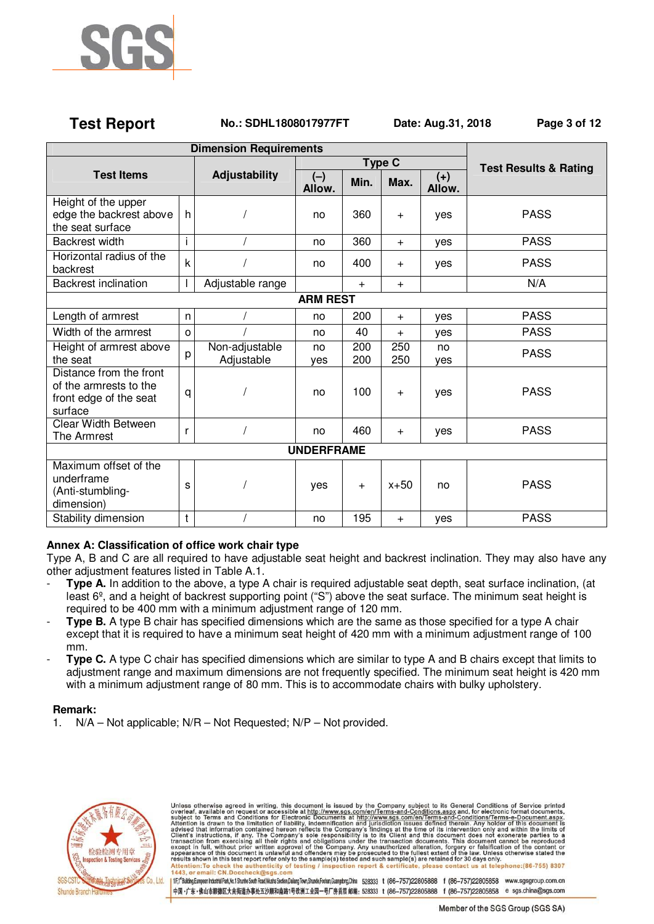

# **Test Report No.: SDHL1808017977FT Date: Aug.31, 2018 Page 3 of 12**

| <b>Dimension Requirements</b>                                                          |              |                              |                 |            |            |                 |                                  |
|----------------------------------------------------------------------------------------|--------------|------------------------------|-----------------|------------|------------|-----------------|----------------------------------|
|                                                                                        |              |                              | <b>Type C</b>   |            |            |                 | <b>Test Results &amp; Rating</b> |
| <b>Test Items</b>                                                                      |              | Adjustability                | $(-)$<br>Allow. | Min.       | Max.       | $(+)$<br>Allow. |                                  |
| Height of the upper<br>edge the backrest above<br>the seat surface                     | h            |                              | no              | 360        | $+$        | yes             | <b>PASS</b>                      |
| <b>Backrest width</b>                                                                  | i.           |                              | no              | 360        | $+$        | ves             | <b>PASS</b>                      |
| Horizontal radius of the<br>backrest                                                   | $\mathsf k$  |                              | no              | 400        | $\ddot{}$  | yes             | <b>PASS</b>                      |
| <b>Backrest inclination</b>                                                            |              | Adjustable range             |                 | $+$        | $\ddot{}$  |                 | N/A                              |
|                                                                                        |              |                              | <b>ARM REST</b> |            |            |                 |                                  |
| Length of armrest                                                                      | n            |                              | no              | 200        | $\ddot{}$  | yes             | <b>PASS</b>                      |
| Width of the armrest                                                                   | o            |                              | no              | 40         | $\ddot{}$  | yes             | <b>PASS</b>                      |
| Height of armrest above<br>the seat                                                    | p            | Non-adjustable<br>Adjustable | no<br>ves       | 200<br>200 | 250<br>250 | no<br>ves       | <b>PASS</b>                      |
| Distance from the front<br>of the armrests to the<br>front edge of the seat<br>surface | q            |                              | no              | 100        | $\ddot{}$  | yes             | <b>PASS</b>                      |
| <b>Clear Width Between</b><br>The Armrest                                              | r            |                              | no              | 460        | $\ddot{}$  | yes             | <b>PASS</b>                      |
| <b>UNDERFRAME</b>                                                                      |              |                              |                 |            |            |                 |                                  |
| Maximum offset of the<br>underframe<br>(Anti-stumbling-<br>dimension)                  | S            |                              | yes             | $+$        | $x + 50$   | no              | <b>PASS</b>                      |
| Stability dimension                                                                    | $\mathsf{t}$ |                              | no              | 195        | $\ddot{}$  | yes             | <b>PASS</b>                      |

# **Annex A: Classification of office work chair type**

Type A, B and C are all required to have adjustable seat height and backrest inclination. They may also have any other adjustment features listed in Table A.1.

- **Type A.** In addition to the above, a type A chair is required adjustable seat depth, seat surface inclination, (at least 6º, and a height of backrest supporting point ("S") above the seat surface. The minimum seat height is required to be 400 mm with a minimum adjustment range of 120 mm.
- **Type B.** A type B chair has specified dimensions which are the same as those specified for a type A chair except that it is required to have a minimum seat height of 420 mm with a minimum adjustment range of 100 mm.
- **Type C.** A type C chair has specified dimensions which are similar to type A and B chairs except that limits to adjustment range and maximum dimensions are not frequently specified. The minimum seat height is 420 mm with a minimum adjustment range of 80 mm. This is to accommodate chairs with bulky upholstery.

### **Remark:**

1. N/A – Not applicable; N/R – Not Requested; N/P – Not provided.



Unless otherwise agreed in writing, this document is issued by the Company subject to its General Conditions of Service printed<br>overleaf, available on request or accessible at http://www.sgs.com/en/Terms-and-Conditions.as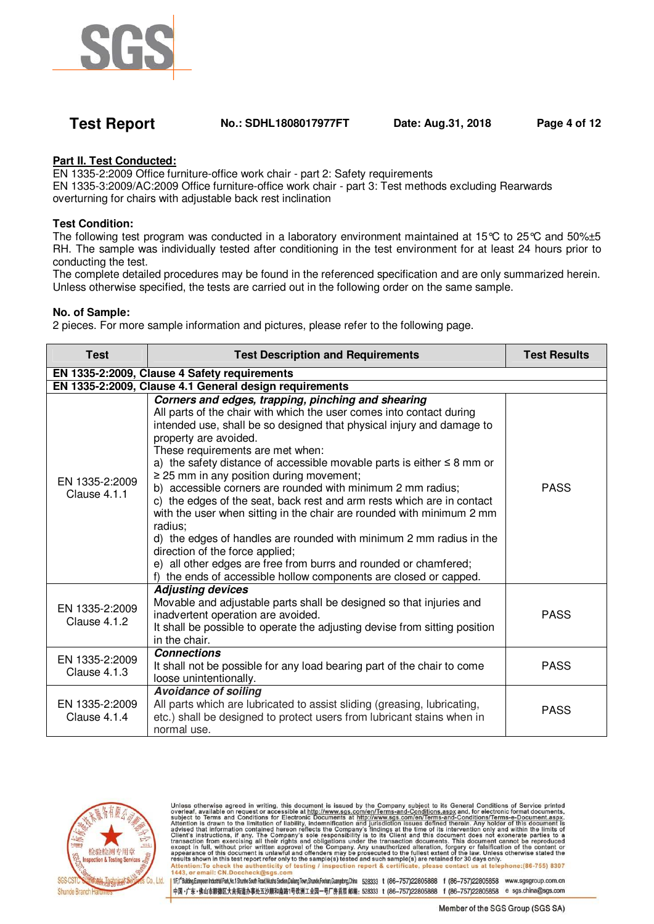

# **Test Report No.: SDHL1808017977FT Date: Aug.31, 2018 Page 4 of 12**

# **Part II. Test Conducted:**

EN 1335-2:2009 Office furniture-office work chair - part 2: Safety requirements

EN 1335-3:2009/AC:2009 Office furniture-office work chair - part 3: Test methods excluding Rearwards overturning for chairs with adjustable back rest inclination

### **Test Condition:**

The following test program was conducted in a laboratory environment maintained at 15°C to 25°C and 50%±5 RH. The sample was individually tested after conditioning in the test environment for at least 24 hours prior to conducting the test.

The complete detailed procedures may be found in the referenced specification and are only summarized herein. Unless otherwise specified, the tests are carried out in the following order on the same sample.

### **No. of Sample:**

2 pieces. For more sample information and pictures, please refer to the following page.

| <b>Test</b>                           | <b>Test Description and Requirements</b>                                                                                                                                                                                                                                                                                                                                                                                                                                                                                                                                                                                                                                                                                                                                                                                                                                         | <b>Test Results</b> |  |  |  |  |
|---------------------------------------|----------------------------------------------------------------------------------------------------------------------------------------------------------------------------------------------------------------------------------------------------------------------------------------------------------------------------------------------------------------------------------------------------------------------------------------------------------------------------------------------------------------------------------------------------------------------------------------------------------------------------------------------------------------------------------------------------------------------------------------------------------------------------------------------------------------------------------------------------------------------------------|---------------------|--|--|--|--|
|                                       | EN 1335-2:2009, Clause 4 Safety requirements                                                                                                                                                                                                                                                                                                                                                                                                                                                                                                                                                                                                                                                                                                                                                                                                                                     |                     |  |  |  |  |
|                                       | EN 1335-2:2009, Clause 4.1 General design requirements                                                                                                                                                                                                                                                                                                                                                                                                                                                                                                                                                                                                                                                                                                                                                                                                                           |                     |  |  |  |  |
| EN 1335-2:2009<br>Clause 4.1.1        | Corners and edges, trapping, pinching and shearing<br>All parts of the chair with which the user comes into contact during<br>intended use, shall be so designed that physical injury and damage to<br>property are avoided.<br>These requirements are met when:<br>a) the safety distance of accessible movable parts is either $\leq 8$ mm or<br>$\geq$ 25 mm in any position during movement;<br>b) accessible corners are rounded with minimum 2 mm radius;<br>c) the edges of the seat, back rest and arm rests which are in contact<br>with the user when sitting in the chair are rounded with minimum 2 mm<br>radius:<br>d) the edges of handles are rounded with minimum 2 mm radius in the<br>direction of the force applied;<br>e) all other edges are free from burrs and rounded or chamfered;<br>f) the ends of accessible hollow components are closed or capped. | <b>PASS</b>         |  |  |  |  |
| EN 1335-2:2009<br><b>Clause 4.1.2</b> | <b>Adjusting devices</b><br>Movable and adjustable parts shall be designed so that injuries and<br>inadvertent operation are avoided.<br>It shall be possible to operate the adjusting devise from sitting position<br>in the chair.                                                                                                                                                                                                                                                                                                                                                                                                                                                                                                                                                                                                                                             | <b>PASS</b>         |  |  |  |  |
| EN 1335-2:2009<br>Clause $4.1.3$      | <b>Connections</b><br>It shall not be possible for any load bearing part of the chair to come<br>loose unintentionally.                                                                                                                                                                                                                                                                                                                                                                                                                                                                                                                                                                                                                                                                                                                                                          | <b>PASS</b>         |  |  |  |  |
| EN 1335-2:2009<br>Clause 4.1.4        | <b>Avoidance of soiling</b><br>All parts which are lubricated to assist sliding (greasing, lubricating,<br>etc.) shall be designed to protect users from lubricant stains when in<br>normal use.                                                                                                                                                                                                                                                                                                                                                                                                                                                                                                                                                                                                                                                                                 | <b>PASS</b>         |  |  |  |  |



Unless otherwise agreed in writing, this document is issued by the Company subject to its General Conditions of Service printed<br>overleaf, available on request or accessible at http://www.sgs.com/en/Terms-and-Conditions.as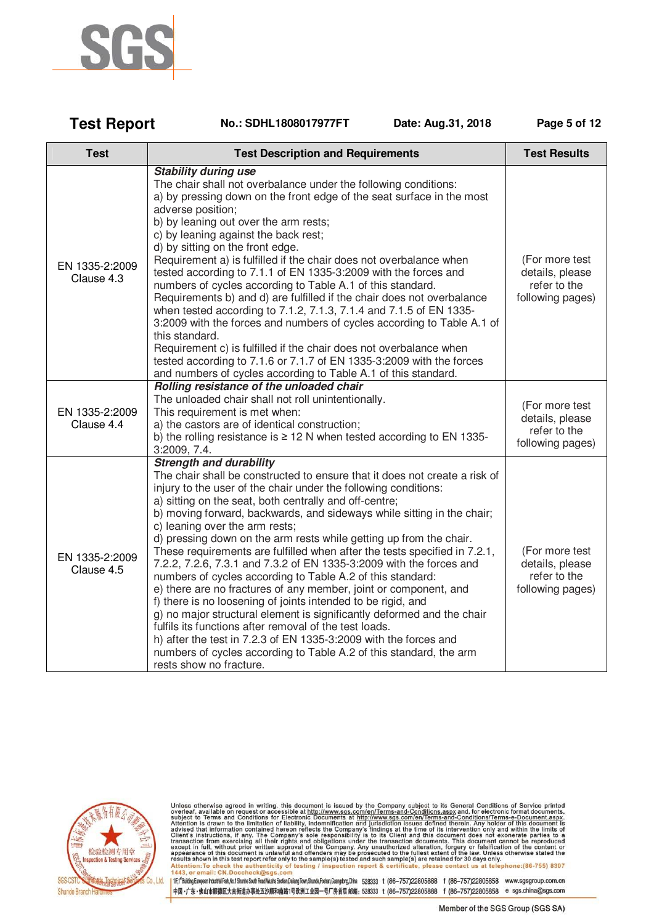

| <b>Test Report</b> | No.: SDHL1808017977FT | Date: Aug.31, 2018 | Page 5 of 12 |
|--------------------|-----------------------|--------------------|--------------|
|--------------------|-----------------------|--------------------|--------------|

| <b>Test</b>                  | <b>Test Description and Requirements</b>                                                                                                                                                                                                                                                                                                                                                                                                                                                                                                                                                                                                                                                                                                                                                                                                                                                                                                                                                                                                                                                   | <b>Test Results</b>                                                   |
|------------------------------|--------------------------------------------------------------------------------------------------------------------------------------------------------------------------------------------------------------------------------------------------------------------------------------------------------------------------------------------------------------------------------------------------------------------------------------------------------------------------------------------------------------------------------------------------------------------------------------------------------------------------------------------------------------------------------------------------------------------------------------------------------------------------------------------------------------------------------------------------------------------------------------------------------------------------------------------------------------------------------------------------------------------------------------------------------------------------------------------|-----------------------------------------------------------------------|
| EN 1335-2:2009<br>Clause 4.3 | <b>Stability during use</b><br>The chair shall not overbalance under the following conditions:<br>a) by pressing down on the front edge of the seat surface in the most<br>adverse position;<br>b) by leaning out over the arm rests;<br>c) by leaning against the back rest;<br>d) by sitting on the front edge.<br>Requirement a) is fulfilled if the chair does not overbalance when<br>tested according to 7.1.1 of EN 1335-3:2009 with the forces and<br>numbers of cycles according to Table A.1 of this standard.<br>Requirements b) and d) are fulfilled if the chair does not overbalance<br>when tested according to 7.1.2, 7.1.3, 7.1.4 and 7.1.5 of EN 1335-<br>3:2009 with the forces and numbers of cycles according to Table A.1 of<br>this standard.<br>Requirement c) is fulfilled if the chair does not overbalance when<br>tested according to 7.1.6 or 7.1.7 of EN 1335-3:2009 with the forces<br>and numbers of cycles according to Table A.1 of this standard.                                                                                                       | (For more test<br>details, please<br>refer to the<br>following pages) |
| EN 1335-2:2009<br>Clause 4.4 | Rolling resistance of the unloaded chair<br>The unloaded chair shall not roll unintentionally.<br>This requirement is met when:<br>a) the castors are of identical construction;<br>b) the rolling resistance is $\geq$ 12 N when tested according to EN 1335-<br>3:2009, 7.4.                                                                                                                                                                                                                                                                                                                                                                                                                                                                                                                                                                                                                                                                                                                                                                                                             | (For more test<br>details, please<br>refer to the<br>following pages) |
| EN 1335-2:2009<br>Clause 4.5 | <b>Strength and durability</b><br>The chair shall be constructed to ensure that it does not create a risk of<br>injury to the user of the chair under the following conditions:<br>a) sitting on the seat, both centrally and off-centre;<br>b) moving forward, backwards, and sideways while sitting in the chair;<br>c) leaning over the arm rests;<br>d) pressing down on the arm rests while getting up from the chair.<br>These requirements are fulfilled when after the tests specified in 7.2.1,<br>7.2.2, 7.2.6, 7.3.1 and 7.3.2 of EN 1335-3:2009 with the forces and<br>numbers of cycles according to Table A.2 of this standard:<br>e) there are no fractures of any member, joint or component, and<br>f) there is no loosening of joints intended to be rigid, and<br>g) no major structural element is significantly deformed and the chair<br>fulfils its functions after removal of the test loads.<br>h) after the test in 7.2.3 of EN 1335-3:2009 with the forces and<br>numbers of cycles according to Table A.2 of this standard, the arm<br>rests show no fracture. | (For more test<br>details, please<br>refer to the<br>following pages) |



Unless otherwise agreed in writing, this document is issued by the Company subject to its General Conditions of Service printed overleaf, available on request or accessible at http://www.sgs.com/en/Terms-and-Conditions.as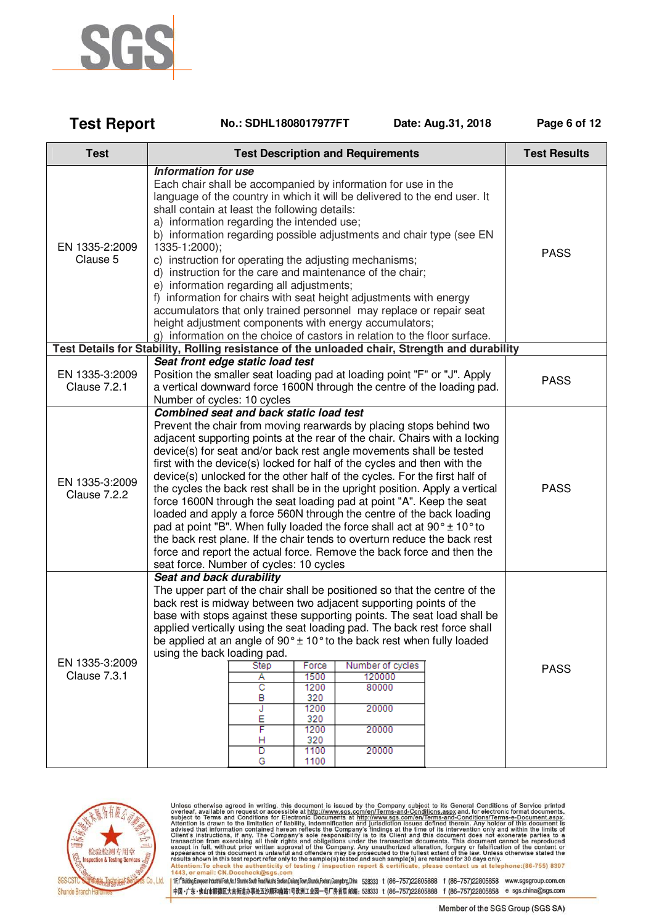

| <b>Test Report</b> | No.: SDHL1808017977FT | Date: Aug.31, 2018 | Page 6 of 12 |
|--------------------|-----------------------|--------------------|--------------|
|                    |                       |                    |              |

| <b>Test</b>                    | <b>Test Description and Requirements</b>                                                                                                                                                                                                                                                                                                                                                                                                                                                                                                                                                                                                                                                                                                                                                                                                                                                                                                                     | <b>Test Results</b> |
|--------------------------------|--------------------------------------------------------------------------------------------------------------------------------------------------------------------------------------------------------------------------------------------------------------------------------------------------------------------------------------------------------------------------------------------------------------------------------------------------------------------------------------------------------------------------------------------------------------------------------------------------------------------------------------------------------------------------------------------------------------------------------------------------------------------------------------------------------------------------------------------------------------------------------------------------------------------------------------------------------------|---------------------|
| EN 1335-2:2009<br>Clause 5     | <b>Information for use</b><br>Each chair shall be accompanied by information for use in the<br>language of the country in which it will be delivered to the end user. It<br>shall contain at least the following details:<br>a) information regarding the intended use;<br>b) information regarding possible adjustments and chair type (see EN<br>1335-1:2000);<br>c) instruction for operating the adjusting mechanisms;<br>d) instruction for the care and maintenance of the chair;<br>e) information regarding all adjustments;<br>f) information for chairs with seat height adjustments with energy<br>accumulators that only trained personnel may replace or repair seat<br>height adjustment components with energy accumulators;<br>g) information on the choice of castors in relation to the floor surface.                                                                                                                                     | <b>PASS</b>         |
|                                | Test Details for Stability, Rolling resistance of the unloaded chair, Strength and durability                                                                                                                                                                                                                                                                                                                                                                                                                                                                                                                                                                                                                                                                                                                                                                                                                                                                |                     |
| EN 1335-3:2009<br>Clause 7.2.1 | Seat front edge static load test<br>Position the smaller seat loading pad at loading point "F" or "J". Apply<br>a vertical downward force 1600N through the centre of the loading pad.<br>Number of cycles: 10 cycles                                                                                                                                                                                                                                                                                                                                                                                                                                                                                                                                                                                                                                                                                                                                        | <b>PASS</b>         |
| EN 1335-3:2009<br>Clause 7.2.2 | <b>Combined seat and back static load test</b><br>Prevent the chair from moving rearwards by placing stops behind two<br>adjacent supporting points at the rear of the chair. Chairs with a locking<br>device(s) for seat and/or back rest angle movements shall be tested<br>first with the device(s) locked for half of the cycles and then with the<br>device(s) unlocked for the other half of the cycles. For the first half of<br>the cycles the back rest shall be in the upright position. Apply a vertical<br>force 1600N through the seat loading pad at point "A". Keep the seat<br>loaded and apply a force 560N through the centre of the back loading<br>pad at point "B". When fully loaded the force shall act at $90^\circ \pm 10^\circ$ to<br>the back rest plane. If the chair tends to overturn reduce the back rest<br>force and report the actual force. Remove the back force and then the<br>seat force. Number of cycles: 10 cycles | <b>PASS</b>         |
| EN 1335-3:2009<br>Clause 7.3.1 | Seat and back durability<br>The upper part of the chair shall be positioned so that the centre of the<br>back rest is midway between two adjacent supporting points of the<br>base with stops against these supporting points. The seat load shall be<br>applied vertically using the seat loading pad. The back rest force shall<br>be applied at an angle of $90^\circ \pm 10^\circ$ to the back rest when fully loaded<br>using the back loading pad.<br><b>Step</b><br>Force<br>Number of cycles<br>1500<br>120000<br>А<br>C<br>1200<br>80000<br>320<br>B<br>1200<br>20000<br>J<br>E<br>320<br>F<br>20000<br>1200<br>320<br>н<br>D<br>1100<br>20000<br>G<br>1100                                                                                                                                                                                                                                                                                         | <b>PASS</b>         |



Unless otherwise agreed in writing, this document is issued by the Company subject to its General Conditions of Service printed overleaf, available on request or accessible at http://www.sgs.com/en/Terms-and-Conditions.as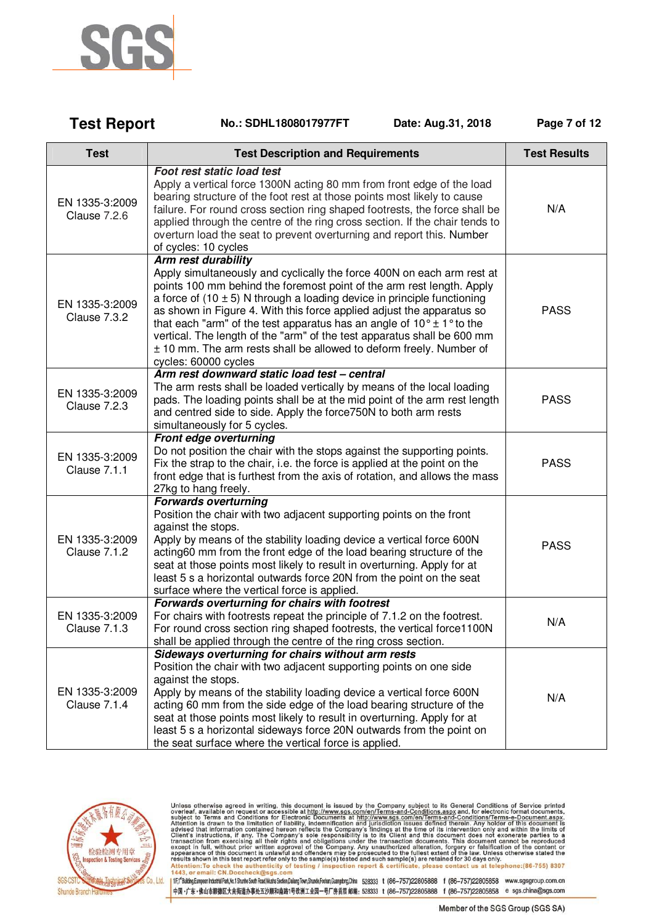

**Test Report** 

| <b>Test</b>                           | <b>Test Description and Requirements</b>                                                                                                                                                                                                                                                                                                                                                                                                                                                                  | <b>Test Results</b> |
|---------------------------------------|-----------------------------------------------------------------------------------------------------------------------------------------------------------------------------------------------------------------------------------------------------------------------------------------------------------------------------------------------------------------------------------------------------------------------------------------------------------------------------------------------------------|---------------------|
| EN 1335-3:2009<br><b>Clause 7.2.6</b> | <b>Foot rest static load test</b><br>Apply a vertical force 1300N acting 80 mm from front edge of the load<br>bearing structure of the foot rest at those points most likely to cause<br>failure. For round cross section ring shaped footrests, the force shall be<br>applied through the centre of the ring cross section. If the chair tends to<br>overturn load the seat to prevent overturning and report this. Number<br>of cycles: 10 cycles                                                       | N/A                 |
|                                       | Arm rest durability<br>Apply simultaneously and cyclically the force 400N on each arm rest at<br>points 100 mm behind the foremost point of the arm rest length. Apply                                                                                                                                                                                                                                                                                                                                    |                     |
| EN 1335-3:2009<br>Clause 7.3.2        | a force of $(10 \pm 5)$ N through a loading device in principle functioning<br>as shown in Figure 4. With this force applied adjust the apparatus so<br>that each "arm" of the test apparatus has an angle of $10^{\circ} \pm 1^{\circ}$ to the<br>vertical. The length of the "arm" of the test apparatus shall be 600 mm<br>± 10 mm. The arm rests shall be allowed to deform freely. Number of<br>cycles: 60000 cycles                                                                                 | <b>PASS</b>         |
| EN 1335-3:2009<br><b>Clause 7.2.3</b> | Arm rest downward static load test - central<br>The arm rests shall be loaded vertically by means of the local loading<br>pads. The loading points shall be at the mid point of the arm rest length<br>and centred side to side. Apply the force 750N to both arm rests<br>simultaneously for 5 cycles.                                                                                                                                                                                                   | <b>PASS</b>         |
| EN 1335-3:2009<br>Clause 7.1.1        | Front edge overturning<br>Do not position the chair with the stops against the supporting points.<br>Fix the strap to the chair, i.e. the force is applied at the point on the<br>front edge that is furthest from the axis of rotation, and allows the mass<br>27kg to hang freely.                                                                                                                                                                                                                      | <b>PASS</b>         |
| EN 1335-3:2009<br><b>Clause 7.1.2</b> | <b>Forwards overturning</b><br>Position the chair with two adjacent supporting points on the front<br>against the stops.<br>Apply by means of the stability loading device a vertical force 600N<br>acting60 mm from the front edge of the load bearing structure of the<br>seat at those points most likely to result in overturning. Apply for at<br>least 5 s a horizontal outwards force 20N from the point on the seat<br>surface where the vertical force is applied.                               | <b>PASS</b>         |
| EN 1335-3:2009<br><b>Clause 7.1.3</b> | Forwards overturning for chairs with footrest<br>For chairs with footrests repeat the principle of 7.1.2 on the footrest.<br>For round cross section ring shaped footrests, the vertical force1100N<br>shall be applied through the centre of the ring cross section.                                                                                                                                                                                                                                     | N/A                 |
| EN 1335-3:2009<br>Clause 7.1.4        | Sideways overturning for chairs without arm rests<br>Position the chair with two adjacent supporting points on one side<br>against the stops.<br>Apply by means of the stability loading device a vertical force 600N<br>acting 60 mm from the side edge of the load bearing structure of the<br>seat at those points most likely to result in overturning. Apply for at<br>least 5 s a horizontal sideways force 20N outwards from the point on<br>the seat surface where the vertical force is applied. | N/A                 |

No.: SDHL1808017977FT

Date: Aug.31, 2018

Page 7 of 12



Unless otherwise agreed in writing, this document is issued by the Company subject to its General Conditions of Service printed overleaf, available on request or accessible at http://www.sgs.com/en/Terms-and-Conditions.as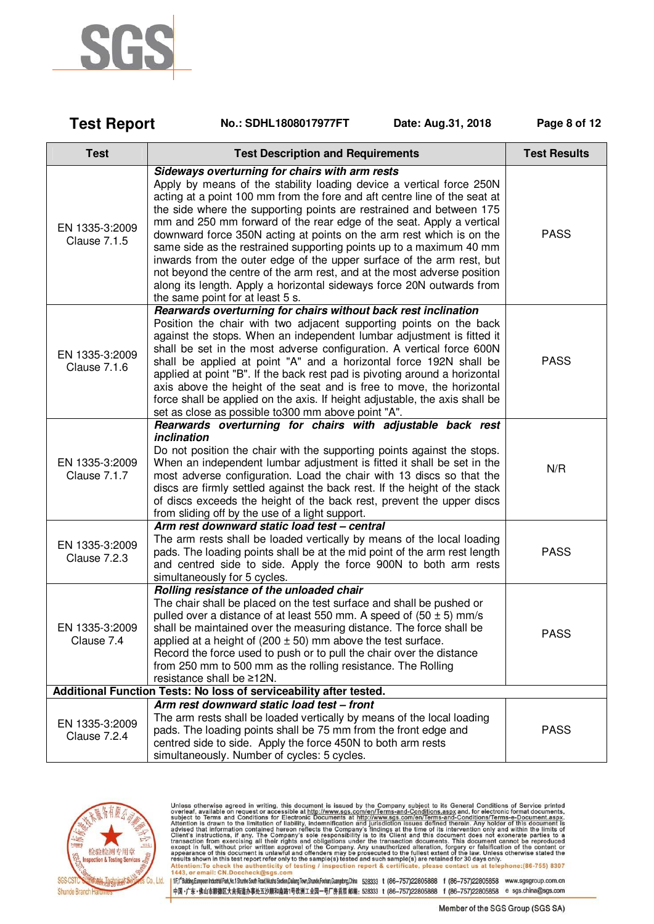

| <b>Test Report</b>                    | No.: SDHL1808017977FT<br>Date: Aug.31, 2018                                                                                                                                                                                                                                                                                                                                                                                                                                                                                                                                                                                                                                                                                                                        | Page 8 of 12        |
|---------------------------------------|--------------------------------------------------------------------------------------------------------------------------------------------------------------------------------------------------------------------------------------------------------------------------------------------------------------------------------------------------------------------------------------------------------------------------------------------------------------------------------------------------------------------------------------------------------------------------------------------------------------------------------------------------------------------------------------------------------------------------------------------------------------------|---------------------|
| <b>Test</b>                           | <b>Test Description and Requirements</b>                                                                                                                                                                                                                                                                                                                                                                                                                                                                                                                                                                                                                                                                                                                           | <b>Test Results</b> |
| EN 1335-3:2009<br><b>Clause 7.1.5</b> | Sideways overturning for chairs with arm rests<br>Apply by means of the stability loading device a vertical force 250N<br>acting at a point 100 mm from the fore and aft centre line of the seat at<br>the side where the supporting points are restrained and between 175<br>mm and 250 mm forward of the rear edge of the seat. Apply a vertical<br>downward force 350N acting at points on the arm rest which is on the<br>same side as the restrained supporting points up to a maximum 40 mm<br>inwards from the outer edge of the upper surface of the arm rest, but<br>not beyond the centre of the arm rest, and at the most adverse position<br>along its length. Apply a horizontal sideways force 20N outwards from<br>the same point for at least 5 s. | <b>PASS</b>         |
| EN 1335-3:2009<br><b>Clause 7.1.6</b> | Rearwards overturning for chairs without back rest inclination<br>Position the chair with two adjacent supporting points on the back<br>against the stops. When an independent lumbar adjustment is fitted it<br>shall be set in the most adverse configuration. A vertical force 600N<br>shall be applied at point "A" and a horizontal force 192N shall be<br>applied at point "B". If the back rest pad is pivoting around a horizontal<br>axis above the height of the seat and is free to move, the horizontal<br>force shall be applied on the axis. If height adjustable, the axis shall be<br>set as close as possible to 300 mm above point "A".                                                                                                          | <b>PASS</b>         |
| EN 1335-3:2009<br>Clause 7.1.7        | Rearwards overturning for chairs with adjustable back rest<br>inclination<br>Do not position the chair with the supporting points against the stops.<br>When an independent lumbar adjustment is fitted it shall be set in the<br>most adverse configuration. Load the chair with 13 discs so that the<br>discs are firmly settled against the back rest. If the height of the stack<br>of discs exceeds the height of the back rest, prevent the upper discs<br>from sliding off by the use of a light support.                                                                                                                                                                                                                                                   | N/R                 |
| EN 1335-3:2009<br><b>Clause 7.2.3</b> | Arm rest downward static load test - central<br>The arm rests shall be loaded vertically by means of the local loading<br>pads. The loading points shall be at the mid point of the arm rest length<br>and centred side to side. Apply the force 900N to both arm rests<br>simultaneously for 5 cycles.                                                                                                                                                                                                                                                                                                                                                                                                                                                            | <b>PASS</b>         |
| EN 1335-3:2009<br>Clause 7.4          | Rolling resistance of the unloaded chair<br>The chair shall be placed on the test surface and shall be pushed or<br>pulled over a distance of at least 550 mm. A speed of $(50 \pm 5)$ mm/s<br>shall be maintained over the measuring distance. The force shall be<br>applied at a height of $(200 \pm 50)$ mm above the test surface.<br>Record the force used to push or to pull the chair over the distance<br>from 250 mm to 500 mm as the rolling resistance. The Rolling<br>resistance shall be ≥12N.                                                                                                                                                                                                                                                        | <b>PASS</b>         |
|                                       | Additional Function Tests: No loss of serviceability after tested.                                                                                                                                                                                                                                                                                                                                                                                                                                                                                                                                                                                                                                                                                                 |                     |
| EN 1335-3:2009<br>Clause 7.2.4        | Arm rest downward static load test - front<br>The arm rests shall be loaded vertically by means of the local loading<br>pads. The loading points shall be 75 mm from the front edge and<br>centred side to side. Apply the force 450N to both arm rests<br>simultaneously. Number of cycles: 5 cycles.                                                                                                                                                                                                                                                                                                                                                                                                                                                             | <b>PASS</b>         |



Unless otherwise agreed in writing, this document is issued by the Company subject to its General Conditions of Service printed overleaf, available on request or accessible at http://www.sgs.com/en/Terms-and-Conditions.as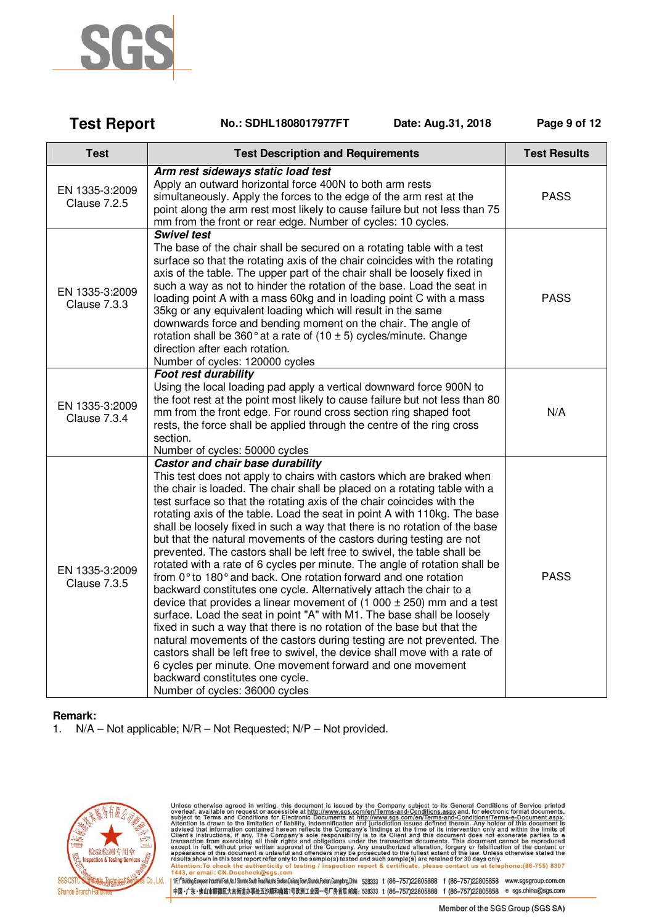

| <b>Test Report</b>                    | Date: Aug.31, 2018<br>No.: SDHL1808017977FT                                                                                                                                                                                                                                                                                                                                                                                                                                                                                                                                                                                                                                                                                                                                                                                                                                                                                                                                                                                                                                                                                                                                                                                                                                                                                         | Page 9 of 12        |
|---------------------------------------|-------------------------------------------------------------------------------------------------------------------------------------------------------------------------------------------------------------------------------------------------------------------------------------------------------------------------------------------------------------------------------------------------------------------------------------------------------------------------------------------------------------------------------------------------------------------------------------------------------------------------------------------------------------------------------------------------------------------------------------------------------------------------------------------------------------------------------------------------------------------------------------------------------------------------------------------------------------------------------------------------------------------------------------------------------------------------------------------------------------------------------------------------------------------------------------------------------------------------------------------------------------------------------------------------------------------------------------|---------------------|
| <b>Test</b>                           | <b>Test Description and Requirements</b>                                                                                                                                                                                                                                                                                                                                                                                                                                                                                                                                                                                                                                                                                                                                                                                                                                                                                                                                                                                                                                                                                                                                                                                                                                                                                            | <b>Test Results</b> |
| EN 1335-3:2009<br><b>Clause 7.2.5</b> | Arm rest sideways static load test<br>Apply an outward horizontal force 400N to both arm rests<br>simultaneously. Apply the forces to the edge of the arm rest at the<br>point along the arm rest most likely to cause failure but not less than 75<br>mm from the front or rear edge. Number of cycles: 10 cycles.                                                                                                                                                                                                                                                                                                                                                                                                                                                                                                                                                                                                                                                                                                                                                                                                                                                                                                                                                                                                                 | <b>PASS</b>         |
| EN 1335-3:2009<br>Clause 7.3.3        | <b>Swivel test</b><br>The base of the chair shall be secured on a rotating table with a test<br>surface so that the rotating axis of the chair coincides with the rotating<br>axis of the table. The upper part of the chair shall be loosely fixed in<br>such a way as not to hinder the rotation of the base. Load the seat in<br>loading point A with a mass 60kg and in loading point C with a mass<br>35kg or any equivalent loading which will result in the same<br>downwards force and bending moment on the chair. The angle of<br>rotation shall be 360 $^{\circ}$ at a rate of (10 $\pm$ 5) cycles/minute. Change<br>direction after each rotation.<br>Number of cycles: 120000 cycles                                                                                                                                                                                                                                                                                                                                                                                                                                                                                                                                                                                                                                   | <b>PASS</b>         |
| EN 1335-3:2009<br>Clause 7.3.4        | <b>Foot rest durability</b><br>Using the local loading pad apply a vertical downward force 900N to<br>the foot rest at the point most likely to cause failure but not less than 80<br>mm from the front edge. For round cross section ring shaped foot<br>rests, the force shall be applied through the centre of the ring cross<br>section.<br>Number of cycles: 50000 cycles                                                                                                                                                                                                                                                                                                                                                                                                                                                                                                                                                                                                                                                                                                                                                                                                                                                                                                                                                      | N/A                 |
| EN 1335-3:2009<br><b>Clause 7.3.5</b> | Castor and chair base durability<br>This test does not apply to chairs with castors which are braked when<br>the chair is loaded. The chair shall be placed on a rotating table with a<br>test surface so that the rotating axis of the chair coincides with the<br>rotating axis of the table. Load the seat in point A with 110kg. The base<br>shall be loosely fixed in such a way that there is no rotation of the base<br>but that the natural movements of the castors during testing are not<br>prevented. The castors shall be left free to swivel, the table shall be<br>rotated with a rate of 6 cycles per minute. The angle of rotation shall be<br>from 0° to 180° and back. One rotation forward and one rotation<br>backward constitutes one cycle. Alternatively attach the chair to a<br>device that provides a linear movement of $(1\ 000 \pm 250)$ mm and a test<br>surface. Load the seat in point "A" with M1. The base shall be loosely<br>fixed in such a way that there is no rotation of the base but that the<br>natural movements of the castors during testing are not prevented. The<br>castors shall be left free to swivel, the device shall move with a rate of<br>6 cycles per minute. One movement forward and one movement<br>backward constitutes one cycle.<br>Number of cycles: 36000 cycles | <b>PASS</b>         |

### **Remark:**

1. N/A – Not applicable; N/R – Not Requested; N/P – Not provided.



Unless otherwise agreed in writing, this document is issued by the Company subject to its General Conditions of Service printed overleaf, available on request or accessible at http://www.sgs.com/en/Terms-and-Conditions.as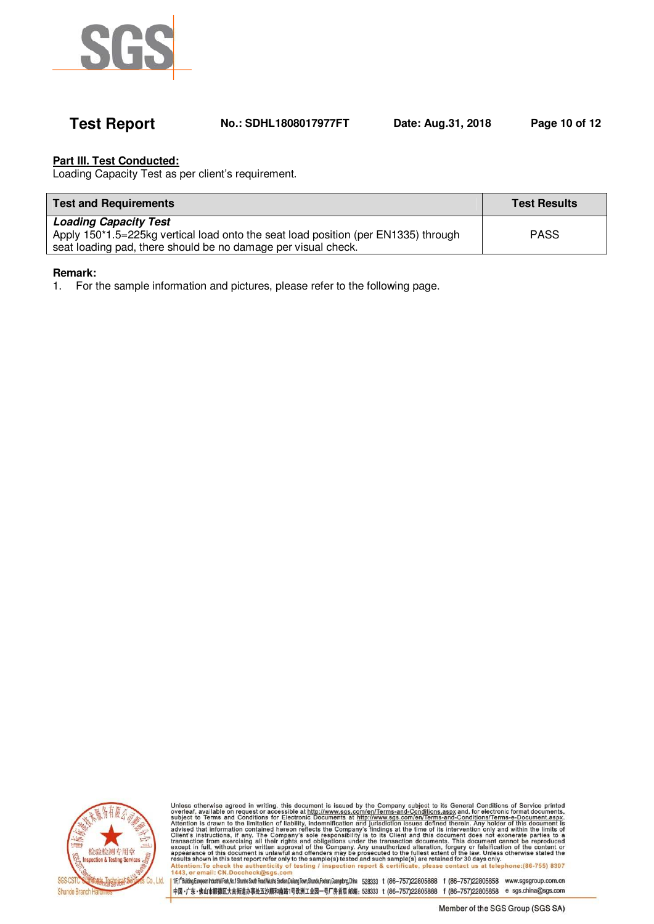

# **Test Report No.: SDHL1808017977FT Date: Aug.31, 2018 Page 10 of 12**

# **Part III. Test Conducted:**

Loading Capacity Test as per client's requirement.

| <b>Test and Requirements</b>                                                       | <b>Test Results</b> |
|------------------------------------------------------------------------------------|---------------------|
| <b>Loading Capacity Test</b>                                                       |                     |
| Apply 150*1.5=225kg vertical load onto the seat load position (per EN1335) through | <b>PASS</b>         |
| seat loading pad, there should be no damage per visual check.                      |                     |

### **Remark:**

1. For the sample information and pictures, please refer to the following page.



Unless otherwise agreed in writing, this document is issued by the Company subject to its General Conditions of Service printed overleaf, available on request or accessible at http://www.sgs.com/en/Terms-and-Conditions.as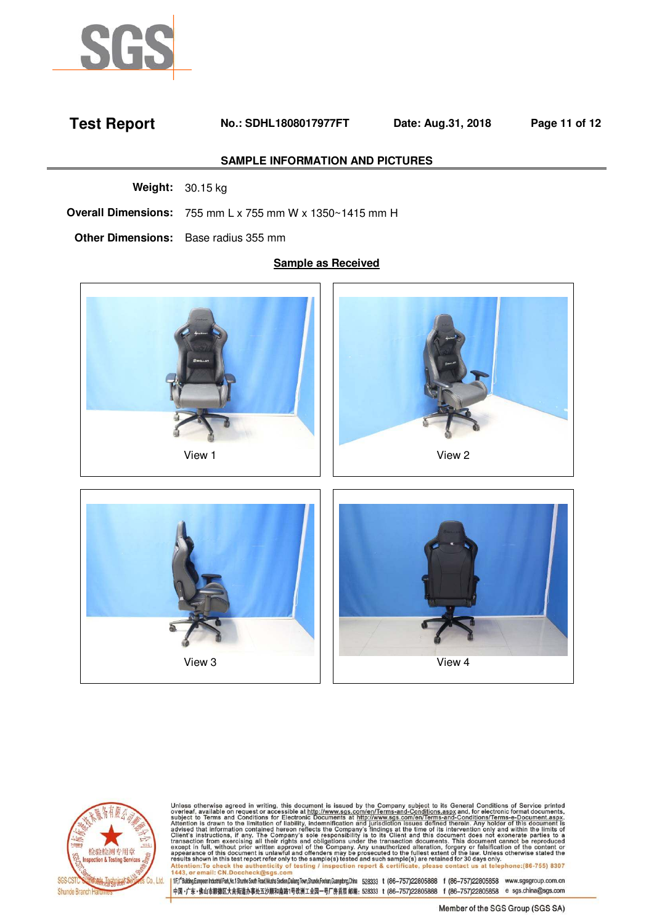

# **Test Report No.: SDHL1808017977FT Date: Aug.31, 2018 Page 11 of 12**

### **SAMPLE INFORMATION AND PICTURES**

**Weight:** 30.15 kg

**Overall Dimensions:** 755 mm L x 755 mm W x 1350~1415 mm H

**Other Dimensions:** Base radius 355 mm

### **Sample as Received**



View 3 and 1 and 1 and 1 and 1 and 1 and 1 and 1 and 1 and 1 and 1 and 1 and 1 and 1 and 1 and 1 and 1 and 1 and 1 and 1 and 1 and 1 and 1 and 1 and 1 and 1 and 1 and 1 and 1 and 1 and 1 and 1 and 1 and 1 and 1 and 1 and 1



Unless otherwise agreed in writing, this document is issued by the Company subject to its General Conditions of Service printed overleaf, available on request or accessible at http://www.sgs.com/en/Terms-and-Conditions.as